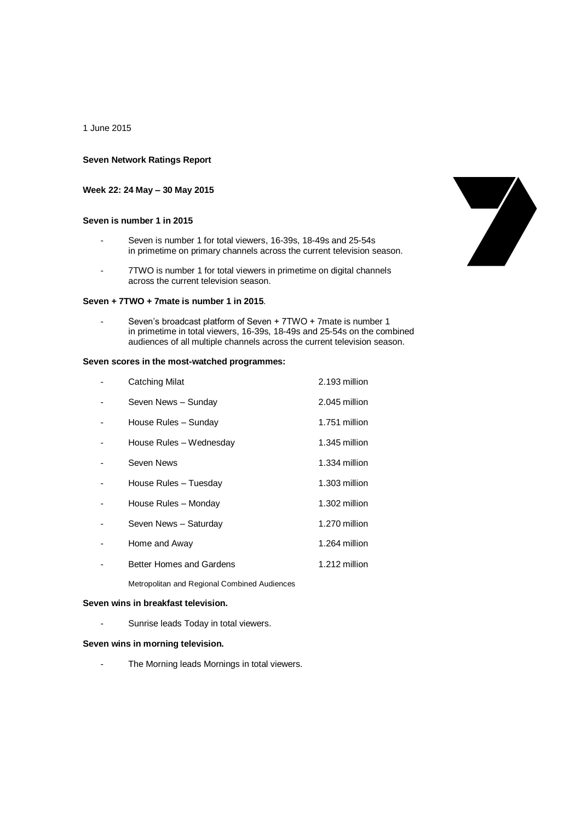1 June 2015

## **Seven Network Ratings Report**

# **Week 22: 24 May – 30 May 2015**

# **Seven is number 1 in 2015**

- Seven is number 1 for total viewers, 16-39s, 18-49s and 25-54s in primetime on primary channels across the current television season.
- 7TWO is number 1 for total viewers in primetime on digital channels across the current television season.

# 

#### **Seven + 7TWO + 7mate is number 1 in 2015**.

Seven's broadcast platform of Seven + 7TWO + 7mate is number 1 in primetime in total viewers, 16-39s, 18-49s and 25-54s on the combined audiences of all multiple channels across the current television season.

## **Seven scores in the most-watched programmes:**

| Catching Milat           | 2.193 million |
|--------------------------|---------------|
| Seven News - Sunday      | 2.045 million |
| House Rules - Sunday     | 1.751 million |
| House Rules - Wednesday  | 1.345 million |
| Seven News               | 1.334 million |
| House Rules - Tuesday    | 1.303 million |
| House Rules - Monday     | 1.302 million |
| Seven News - Saturday    | 1.270 million |
| Home and Away            | 1.264 million |
| Better Homes and Gardens | 1.212 million |
|                          |               |

Metropolitan and Regional Combined Audiences

## **Seven wins in breakfast television.**

- Sunrise leads Today in total viewers.

#### **Seven wins in morning television.**

- The Morning leads Mornings in total viewers.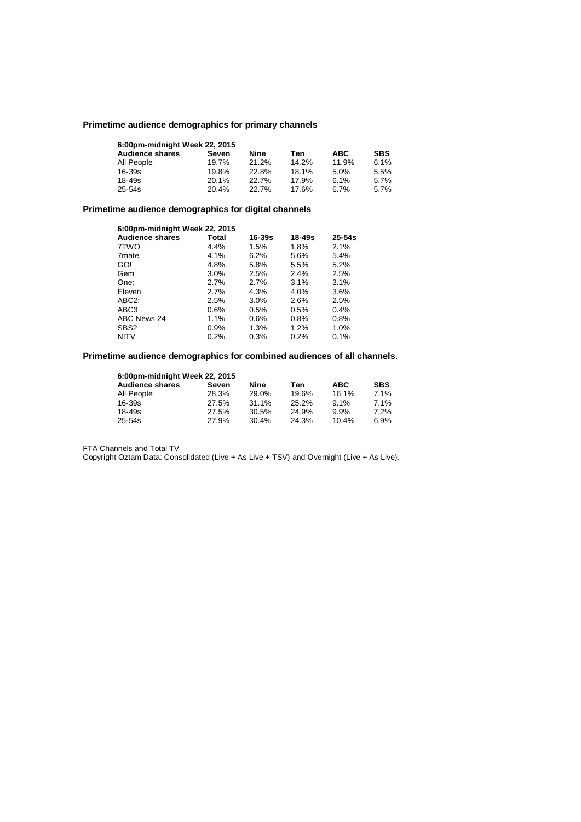# **Primetime audience demographics for primary channels**

| 6:00pm-midnight Week 22, 2015 |       |       |       |            |            |
|-------------------------------|-------|-------|-------|------------|------------|
| <b>Audience shares</b>        | Seven | Nine  | Ten   | <b>ABC</b> | <b>SBS</b> |
| All People                    | 19.7% | 21.2% | 14.2% | 11.9%      | 6.1%       |
| 16-39s                        | 19.8% | 22.8% | 18.1% | 5.0%       | 5.5%       |
| 18-49s                        | 20.1% | 22.7% | 17.9% | 6.1%       | 5.7%       |
| 25-54s                        | 20.4% | 22.7% | 17.6% | 6.7%       | 5.7%       |

# **Primetime audience demographics for digital channels**

| 6:00pm-midnight Week 22, 2015 |         |        |            |            |
|-------------------------------|---------|--------|------------|------------|
| <b>Audience shares</b>        | Total   | 16-39s | $18 - 49s$ | $25 - 54s$ |
| 7TWO                          | 4.4%    | 1.5%   | 1.8%       | 2.1%       |
| 7 <sub>mate</sub>             | 4.1%    | 6.2%   | 5.6%       | 5.4%       |
| GO!                           | 4.8%    | 5.8%   | 5.5%       | 5.2%       |
| Gem                           | $3.0\%$ | 2.5%   | $2.4\%$    | 2.5%       |
| One:                          | 2.7%    | 2.7%   | 3.1%       | 3.1%       |
| Eleven                        | 2.7%    | 4.3%   | 4.0%       | 3.6%       |
| ABC <sub>2</sub> :            | 2.5%    | 3.0%   | 2.6%       | 2.5%       |
| ABC <sub>3</sub>              | 0.6%    | 0.5%   | 0.5%       | 0.4%       |
| ABC News 24                   | 1.1%    | 0.6%   | 0.8%       | 0.8%       |
| SBS <sub>2</sub>              | 0.9%    | 1.3%   | 1.2%       | 1.0%       |
| <b>NITV</b>                   | 0.2%    | 0.3%   | 0.2%       | 0.1%       |

# **Primetime audience demographics for combined audiences of all channels**.

| 6:00pm-midnight Week 22, 2015 |       |       |       |            |            |
|-------------------------------|-------|-------|-------|------------|------------|
| <b>Audience shares</b>        | Seven | Nine  | Ten   | <b>ABC</b> | <b>SBS</b> |
| All People                    | 28.3% | 29.0% | 19.6% | 16.1%      | 7.1%       |
| $16 - 39s$                    | 27.5% | 31.1% | 25.2% | $9.1\%$    | 7.1%       |
| $18 - 49s$                    | 27.5% | 30.5% | 24.9% | 9.9%       | 7.2%       |
| $25 - 54s$                    | 27.9% | 30.4% | 24.3% | 10.4%      | 6.9%       |

FTA Channels and Total TV

Copyright Oztam Data: Consolidated (Live + As Live + TSV) and Overnight (Live + As Live).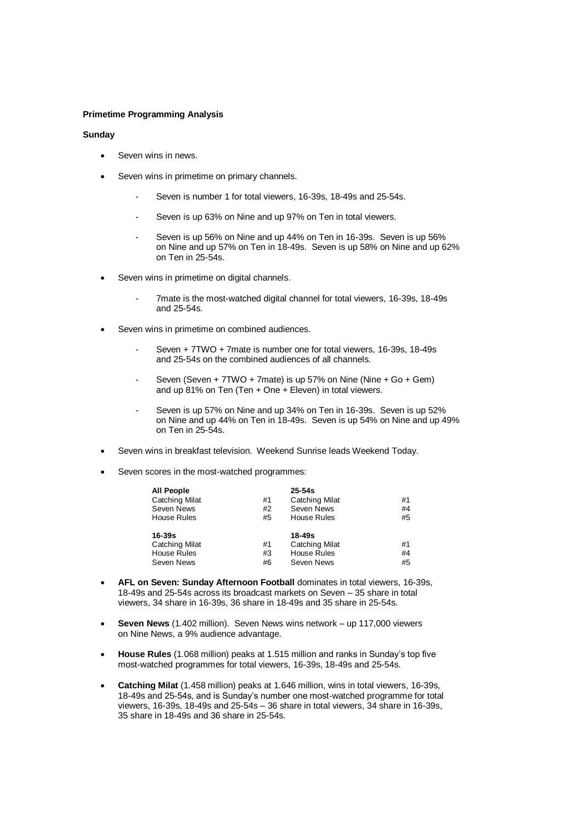# **Primetime Programming Analysis**

#### **Sunday**

- Seven wins in news.
- Seven wins in primetime on primary channels.
	- Seven is number 1 for total viewers, 16-39s, 18-49s and 25-54s.
	- Seven is up 63% on Nine and up 97% on Ten in total viewers.
	- Seven is up 56% on Nine and up 44% on Ten in 16-39s. Seven is up 56% on Nine and up 57% on Ten in 18-49s. Seven is up 58% on Nine and up 62% on Ten in 25-54s.
- Seven wins in primetime on digital channels.
	- 7mate is the most-watched digital channel for total viewers, 16-39s, 18-49s and 25-54s.
- Seven wins in primetime on combined audiences.
	- Seven + 7TWO + 7mate is number one for total viewers, 16-39s, 18-49s and 25-54s on the combined audiences of all channels.
	- Seven (Seven + 7TWO + 7mate) is up 57% on Nine (Nine + Go + Gem) and up 81% on Ten (Ten + One + Eleven) in total viewers.
	- Seven is up 57% on Nine and up 34% on Ten in 16-39s. Seven is up 52% on Nine and up 44% on Ten in 18-49s. Seven is up 54% on Nine and up 49% on Ten in 25-54s.
- Seven wins in breakfast television. Weekend Sunrise leads Weekend Today.
- Seven scores in the most-watched programmes:

| <b>All People</b>     |    | $25 - 54s$            |    |
|-----------------------|----|-----------------------|----|
| <b>Catching Milat</b> | #1 | <b>Catching Milat</b> | #1 |
| Seven News            | #2 | Seven News            | #4 |
| <b>House Rules</b>    | #5 | <b>House Rules</b>    | #5 |
| 16-39s                |    | 18-49s                |    |
| <b>Catching Milat</b> | #1 | <b>Catching Milat</b> | #1 |
| House Rules           | #3 | <b>House Rules</b>    | #4 |
| Seven News            | #6 | Seven News            | #5 |

- **AFL on Seven: Sunday Afternoon Football** dominates in total viewers, 16-39s, 18-49s and 25-54s across its broadcast markets on Seven – 35 share in total viewers, 34 share in 16-39s, 36 share in 18-49s and 35 share in 25-54s.
- **Seven News** (1.402 million). Seven News wins network up 117,000 viewers on Nine News, a 9% audience advantage.
- **House Rules** (1.068 million) peaks at 1.515 million and ranks in Sunday's top five most-watched programmes for total viewers, 16-39s, 18-49s and 25-54s.
- **Catching Milat** (1.458 million) peaks at 1.646 million, wins in total viewers, 16-39s, 18-49s and 25-54s, and is Sunday's number one most-watched programme for total viewers, 16-39s, 18-49s and 25-54s – 36 share in total viewers, 34 share in 16-39s, 35 share in 18-49s and 36 share in 25-54s.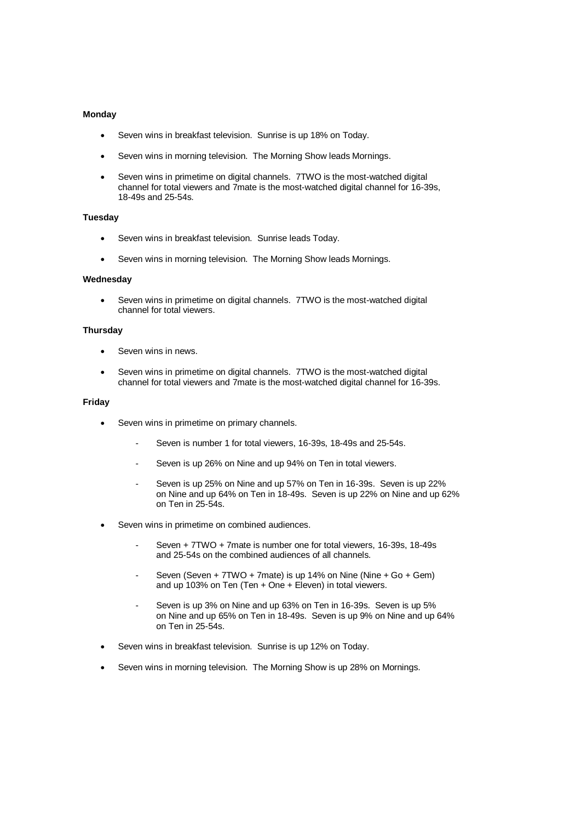# **Monday**

- Seven wins in breakfast television. Sunrise is up 18% on Today.
- Seven wins in morning television. The Morning Show leads Mornings.
- Seven wins in primetime on digital channels. 7TWO is the most-watched digital channel for total viewers and 7mate is the most-watched digital channel for 16-39s, 18-49s and 25-54s.

#### **Tuesday**

- Seven wins in breakfast television. Sunrise leads Today.
- Seven wins in morning television. The Morning Show leads Mornings.

#### **Wednesday**

 Seven wins in primetime on digital channels. 7TWO is the most-watched digital channel for total viewers.

#### **Thursday**

- Seven wins in news.
- Seven wins in primetime on digital channels. 7TWO is the most-watched digital channel for total viewers and 7mate is the most-watched digital channel for 16-39s.

#### **Friday**

- Seven wins in primetime on primary channels.
	- Seven is number 1 for total viewers, 16-39s, 18-49s and 25-54s.
	- Seven is up 26% on Nine and up 94% on Ten in total viewers.
	- Seven is up 25% on Nine and up 57% on Ten in 16-39s. Seven is up 22% on Nine and up 64% on Ten in 18-49s. Seven is up 22% on Nine and up 62% on Ten in 25-54s.
- Seven wins in primetime on combined audiences.
	- Seven + 7TWO + 7mate is number one for total viewers, 16-39s, 18-49s and 25-54s on the combined audiences of all channels.
	- Seven (Seven + 7TWO + 7mate) is up 14% on Nine (Nine + Go + Gem) and up 103% on Ten (Ten + One + Eleven) in total viewers.
	- Seven is up 3% on Nine and up 63% on Ten in 16-39s. Seven is up 5% on Nine and up 65% on Ten in 18-49s. Seven is up 9% on Nine and up 64% on Ten in 25-54s.
- Seven wins in breakfast television. Sunrise is up 12% on Today.
- Seven wins in morning television. The Morning Show is up 28% on Mornings.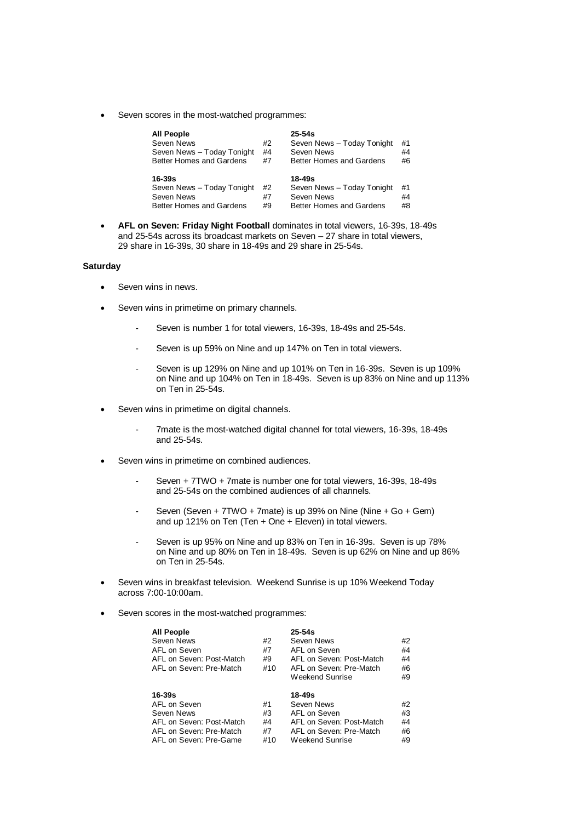Seven scores in the most-watched programmes:

| <b>All People</b><br>Seven News<br>Seven News - Today Tonight<br>Better Homes and Gardens | #2<br>#4<br>#7 | $25 - 54s$<br>Seven News - Today Tonight<br>Seven News<br>Better Homes and Gardens | #1<br>#4<br>#6 |
|-------------------------------------------------------------------------------------------|----------------|------------------------------------------------------------------------------------|----------------|
| $16 - 39s$<br>Seven News - Today Tonight<br>Seven News<br>Better Homes and Gardens        | #2<br>#7<br>#9 | $18 - 49s$<br>Seven News - Today Tonight<br>Seven News<br>Better Homes and Gardens | #1<br>#4<br>#8 |

 **AFL on Seven: Friday Night Football** dominates in total viewers, 16-39s, 18-49s and 25-54s across its broadcast markets on Seven – 27 share in total viewers, 29 share in 16-39s, 30 share in 18-49s and 29 share in 25-54s.

# **Saturday**

- Seven wins in news.
- Seven wins in primetime on primary channels.
	- Seven is number 1 for total viewers, 16-39s, 18-49s and 25-54s.
	- Seven is up 59% on Nine and up 147% on Ten in total viewers.
	- Seven is up 129% on Nine and up 101% on Ten in 16-39s. Seven is up 109% on Nine and up 104% on Ten in 18-49s. Seven is up 83% on Nine and up 113% on Ten in 25-54s.
- Seven wins in primetime on digital channels.
	- 7mate is the most-watched digital channel for total viewers, 16-39s, 18-49s and 25-54s.
- Seven wins in primetime on combined audiences.
	- Seven + 7TWO + 7mate is number one for total viewers, 16-39s, 18-49s and 25-54s on the combined audiences of all channels.
	- Seven (Seven + 7TWO + 7mate) is up 39% on Nine (Nine + Go + Gem) and up 121% on Ten (Ten + One + Eleven) in total viewers.
	- Seven is up 95% on Nine and up 83% on Ten in 16-39s. Seven is up 78% on Nine and up 80% on Ten in 18-49s. Seven is up 62% on Nine and up 86% on Ten in 25-54s.
- Seven wins in breakfast television. Weekend Sunrise is up 10% Weekend Today across 7:00-10:00am.
- Seven scores in the most-watched programmes:

| AFL on Seven: Post-Match | #4           |
|--------------------------|--------------|
| AFL on Seven: Pre-Match  | #6           |
| Weekend Sunrise          | #9           |
| 18-49s                   | #2           |
| Seven News               | #3           |
|                          | AFL on Seven |

AFL on Seven: Post-Match #4 AFL on Seven: Post-Match #4<br>AFL on Seven: Pre-Match #7 AFL on Seven: Pre-Match #6

AFL on Seven: Pre-Game #10 Weekend Sunrise #9

AFL on Seven: Pre-Match #7 AFL on Seven: Pre-Match #7 AFL on Seven: Pre-Game #10